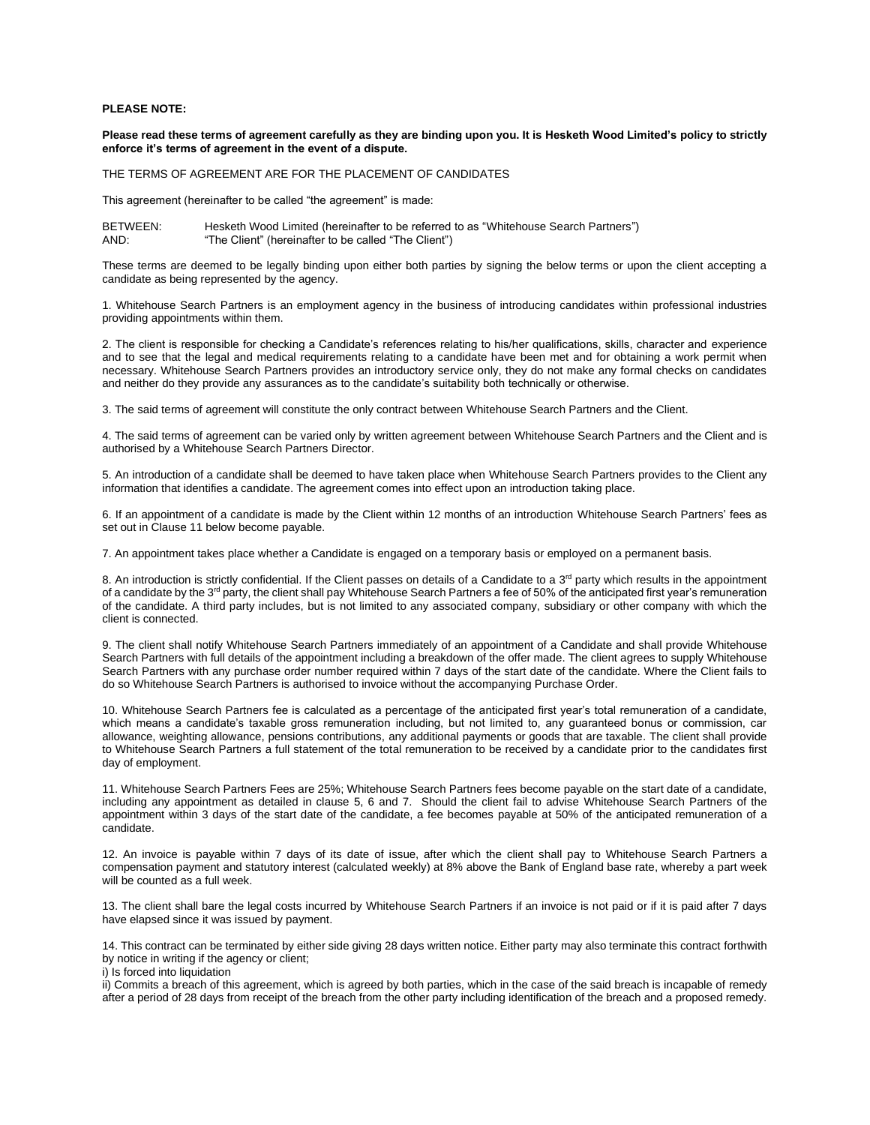## **PLEASE NOTE:**

**Please read these terms of agreement carefully as they are binding upon you. It is Hesketh Wood Limited's policy to strictly enforce it's terms of agreement in the event of a dispute.**

THE TERMS OF AGREEMENT ARE FOR THE PLACEMENT OF CANDIDATES

This agreement (hereinafter to be called "the agreement" is made:

BETWEEN: Hesketh Wood Limited (hereinafter to be referred to as "Whitehouse Search Partners") AND: "The Client" (hereinafter to be called "The Client")

These terms are deemed to be legally binding upon either both parties by signing the below terms or upon the client accepting a candidate as being represented by the agency.

1. Whitehouse Search Partners is an employment agency in the business of introducing candidates within professional industries providing appointments within them.

2. The client is responsible for checking a Candidate's references relating to his/her qualifications, skills, character and experience and to see that the legal and medical requirements relating to a candidate have been met and for obtaining a work permit when necessary. Whitehouse Search Partners provides an introductory service only, they do not make any formal checks on candidates and neither do they provide any assurances as to the candidate's suitability both technically or otherwise.

3. The said terms of agreement will constitute the only contract between Whitehouse Search Partners and the Client.

4. The said terms of agreement can be varied only by written agreement between Whitehouse Search Partners and the Client and is authorised by a Whitehouse Search Partners Director.

5. An introduction of a candidate shall be deemed to have taken place when Whitehouse Search Partners provides to the Client any information that identifies a candidate. The agreement comes into effect upon an introduction taking place.

6. If an appointment of a candidate is made by the Client within 12 months of an introduction Whitehouse Search Partners' fees as set out in Clause 11 below become payable.

7. An appointment takes place whether a Candidate is engaged on a temporary basis or employed on a permanent basis.

8. An introduction is strictly confidential. If the Client passes on details of a Candidate to a 3<sup>rd</sup> party which results in the appointment of a candidate by the  $3^{rd}$  party, the client shall pay Whitehouse Search Partners a fee of 50% of the anticipated first year's remuneration of the candidate. A third party includes, but is not limited to any associated company, subsidiary or other company with which the client is connected.

9. The client shall notify Whitehouse Search Partners immediately of an appointment of a Candidate and shall provide Whitehouse Search Partners with full details of the appointment including a breakdown of the offer made. The client agrees to supply Whitehouse Search Partners with any purchase order number required within 7 days of the start date of the candidate. Where the Client fails to do so Whitehouse Search Partners is authorised to invoice without the accompanying Purchase Order.

10. Whitehouse Search Partners fee is calculated as a percentage of the anticipated first year's total remuneration of a candidate, which means a candidate's taxable gross remuneration including, but not limited to, any guaranteed bonus or commission, car allowance, weighting allowance, pensions contributions, any additional payments or goods that are taxable. The client shall provide to Whitehouse Search Partners a full statement of the total remuneration to be received by a candidate prior to the candidates first day of employment.

11. Whitehouse Search Partners Fees are 25%; Whitehouse Search Partners fees become payable on the start date of a candidate, including any appointment as detailed in clause 5, 6 and 7. Should the client fail to advise Whitehouse Search Partners of the appointment within 3 days of the start date of the candidate, a fee becomes payable at 50% of the anticipated remuneration of a candidate.

12. An invoice is payable within 7 days of its date of issue, after which the client shall pay to Whitehouse Search Partners a compensation payment and statutory interest (calculated weekly) at 8% above the Bank of England base rate, whereby a part week will be counted as a full week.

13. The client shall bare the legal costs incurred by Whitehouse Search Partners if an invoice is not paid or if it is paid after 7 days have elapsed since it was issued by payment.

14. This contract can be terminated by either side giving 28 days written notice. Either party may also terminate this contract forthwith by notice in writing if the agency or client;

i) Is forced into liquidation

ii) Commits a breach of this agreement, which is agreed by both parties, which in the case of the said breach is incapable of remedy after a period of 28 days from receipt of the breach from the other party including identification of the breach and a proposed remedy.